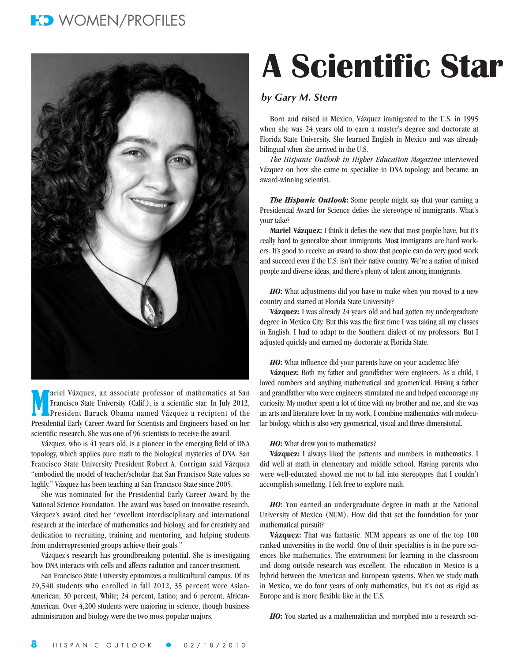### **FO** WOMEN/PROFILES



M ariel Vázquez, an associate professor of mathematics at San Francisco State University (Calif.), is a scientific star. In July 2012, President Barack Obama named Vázquez a recipient of the Presidential Early Career Award for Scientists and Engineers based on her scientific research. She was one of 96 scientists to receive the award.

Vázquez, who is 41 years old, is a pioneer in the emerging field of DNA topology, which applies pure math to the biological mysteries of DNA. San Francisco State University President Robert A. Corrigan said Vázquez "embodied the model of teacher/scholar that San Francisco State values so highly." Vázquez has been teaching at San Francisco State since 2005.

She was nominated for the Presidential Early Career Award by the National Science Foundation. The award was based on innovative research. Vázquez's award cited her "excellent interdisciplinary and international research at the interface of mathematics and biology, and for creativity and dedication to recruiting, training and mentoring, and helping students from underrepresented groups achieve their goals."

Vázquez's research has groundbreaking potential. She is investigating how DNA interacts with cells and affects radiation and cancer treatment.

San Francisco State University epitomizes a multicultural campus. Of its 29,540 students who enrolled in fall 2012, 35 percent were Asian-American; 30 percent, White; 24 percent, Latino; and 6 percent, African-American. Over 4,200 students were majoring in science, though business administration and biology were the two most popular majors.

# **A Scientific Star**

### *by Gary M. Stern*

Born and raised in Mexico, Vázquez immigrated to the U.S. in 1995 when she was 24 years old to earn a master's degree and doctorate at Florida State University. She learned English in Mexico and was already bilingual when she arrived in the U.S.

*The Hispanic Outlook in Higher Education Magazine* interviewed Vázquez on how she came to specialize in DNA topology and became an award-winning scientist.

*The Hispanic Outlook***:** Some people might say that your earning a Presidential Award for Science defies the stereotype of immigrants. What's your take?

**Mariel Vázquez:** I think it defies the view that most people have, but it's really hard to generalize about immigrants. Most immigrants are hard workers. It's good to receive an award to show that people can do very good work and succeed even if the U.S. isn't their native country. We're a nation of mixed people and diverse ideas, and there's plenty of talent among immigrants.

*HO***:** What adjustments did you have to make when you moved to a new country and started at Florida State University?

**Vázquez:** I was already 24 years old and had gotten my undergraduate degree in Mexico City. But this was the first time I was taking all my classes in English. I had to adapt to the Southern dialect of my professors. But I adjusted quickly and earned my doctorate at Florida State.

*HO***:** What influence did your parents have on your academic life?

**Vázquez:** Both my father and grandfather were engineers. As a child, I loved numbers and anything mathematical and geometrical. Having a father and grandfather who were engineers stimulated me and helped encourage my curiosity. My mother spent a lot of time with my brother and me, and she was an arts and literature lover. In my work, I combine mathematics with molecular biology, which is also very geometrical, visual and three-dimensional.

### *HO***:** What drew you to mathematics?

**Vázquez:** I always liked the patterns and numbers in mathematics. I did well at math in elementary and middle school. Having parents who were well-educated showed me not to fall into stereotypes that I couldn't accomplish something. I felt free to explore math.

*HO***:** You earned an undergraduate degree in math at the National University of Mexico (NUM). How did that set the foundation for your mathematical pursuit?

**Vázquez:** That was fantastic. NUM appears as one of the top 100 ranked universities in the world. One of their specialties is in the pure sciences like mathematics. The environment for learning in the classroom and doing outside research was excellent. The education in Mexico is a hybrid between the American and European systems. When we study math in Mexico, we do four years of only mathematics, but it's not as rigid as Europe and is more flexible like in the U.S.

*HO***:** You started as a mathematician and morphed into a research sci-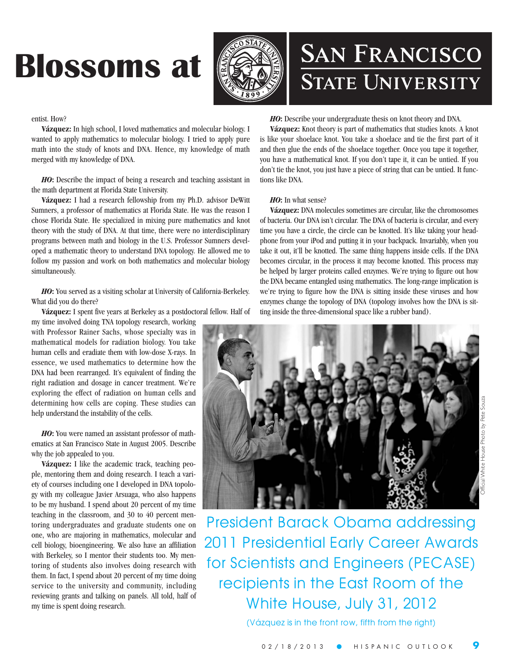## **Blossoms at**



## **SAN FRANCISCO STATE UNIVERSITY**

### entist. How?

**Vázquez:** In high school, I loved mathematics and molecular biology. I wanted to apply mathematics to molecular biology. I tried to apply pure math into the study of knots and DNA. Hence, my knowledge of math merged with my knowledge of DNA.

*HO***:** Describe the impact of being a research and teaching assistant in the math department at Florida State University.

**Vázquez:** I had a research fellowship from my Ph.D. advisor DeWitt Sumners, a professor of mathematics at Florida State. He was the reason I chose Florida State. He specialized in mixing pure mathematics and knot theory with the study of DNA. At that time, there were no interdisciplinary programs between math and biology in the U.S. Professor Sumners developed a mathematic theory to understand DNA topology. He allowed me to follow my passion and work on both mathematics and molecular biology simultaneously.

*HO***:** You served as a visiting scholar at University of California-Berkeley. What did you do there?

**Vázquez:** I spent five years at Berkeley as a postdoctoral fellow. Half of

my time involved doing TNA topology research, working with Professor Rainer Sachs, whose specialty was in mathematical models for radiation biology. You take human cells and eradiate them with low-dose X-rays. In essence, we used mathematics to determine how the DNA had been rearranged. It's equivalent of finding the right radiation and dosage in cancer treatment. We're exploring the effect of radiation on human cells and determining how cells are coping. These studies can help understand the instability of the cells.

*HO***:** You were named an assistant professor of mathematics at San Francisco State in August 2005. Describe why the job appealed to you.

**Vázquez:** I like the academic track, teaching people, mentoring them and doing research. I teach a variety of courses including one I developed in DNA topology with my colleague Javier Arsuaga, who also happens to be my husband. I spend about 20 percent of my time teaching in the classroom, and 30 to 40 percent mentoring undergraduates and graduate students one on one, who are majoring in mathematics, molecular and cell biology, bioengineering. We also have an affiliation with Berkeley, so I mentor their students too. My mentoring of students also involves doing research with them. In fact, I spend about 20 percent of my time doing service to the university and community, including reviewing grants and talking on panels. All told, half of my time is spent doing research.

### *HO***:** Describe your undergraduate thesis on knot theory and DNA.

**Vázquez:** Knot theory is part of mathematics that studies knots. A knot is like your shoelace knot. You take a shoelace and tie the first part of it and then glue the ends of the shoelace together. Once you tape it together, you have a mathematical knot. If you don't tape it, it can be untied. If you don't tie the knot, you just have a piece of string that can be untied. It functions like DNA.

### *HO***:** In what sense?

**Vázquez:** DNA molecules sometimes are circular, like the chromosomes of bacteria. Our DNA isn't circular. The DNA of bacteria is circular, and every time you have a circle, the circle can be knotted. It's like taking your headphone from your iPod and putting it in your backpack. Invariably, when you take it out, it'll be knotted. The same thing happens inside cells. If the DNA becomes circular, in the process it may become knotted. This process may be helped by larger proteins called enzymes. We're trying to figure out how the DNA became entangled using mathematics. The long-range implication is we're trying to figure how the DNA is sitting inside these viruses and how enzymes change the topology of DNA (topology involves how the DNA is sitting inside the three-dimensional space like a rubber band).



President Barack Obama addressing 2011 Presidential Early Career Awards for Scientists and Engineers (PECASE) recipients in the East Room of the White House, July 31, 2012

(Vázquez is in the front row, fifth from the right)